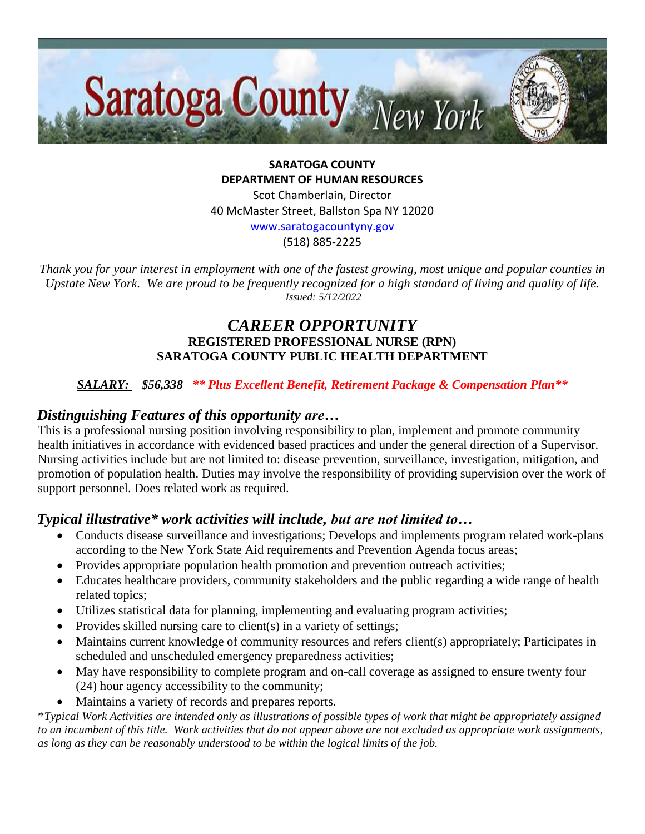

#### **SARATOGA COUNTY DEPARTMENT OF HUMAN RESOURCES**

Scot Chamberlain, Director 40 McMaster Street, Ballston Spa NY 12020

[www.saratogacountyny.gov](http://www.saratogacountyny.gov/)

(518) 885-2225

*Thank you for your interest in employment with one of the fastest growing, most unique and popular counties in Upstate New York. We are proud to be frequently recognized for a high standard of living and quality of life. Issued: 5/12/2022* 

## *CAREER OPPORTUNITY* **REGISTERED PROFESSIONAL NURSE (RPN) SARATOGA COUNTY PUBLIC HEALTH DEPARTMENT**

### *SALARY: \$56,338 \*\* Plus Excellent Benefit, Retirement Package & Compensation Plan\*\**

## *Distinguishing Features of this opportunity are…*

This is a professional nursing position involving responsibility to plan, implement and promote community health initiatives in accordance with evidenced based practices and under the general direction of a Supervisor. Nursing activities include but are not limited to: disease prevention, surveillance, investigation, mitigation, and promotion of population health. Duties may involve the responsibility of providing supervision over the work of support personnel. Does related work as required.

# *Typical illustrative\* work activities will include, but are not limited to…*

- Conducts disease surveillance and investigations; Develops and implements program related work-plans according to the New York State Aid requirements and Prevention Agenda focus areas;
- Provides appropriate population health promotion and prevention outreach activities;
- Educates healthcare providers, community stakeholders and the public regarding a wide range of health related topics;
- Utilizes statistical data for planning, implementing and evaluating program activities;
- Provides skilled nursing care to client(s) in a variety of settings;
- Maintains current knowledge of community resources and refers client(s) appropriately; Participates in scheduled and unscheduled emergency preparedness activities;
- May have responsibility to complete program and on-call coverage as assigned to ensure twenty four (24) hour agency accessibility to the community;
- Maintains a variety of records and prepares reports.

\**Typical Work Activities are intended only as illustrations of possible types of work that might be appropriately assigned to an incumbent of this title. Work activities that do not appear above are not excluded as appropriate work assignments, as long as they can be reasonably understood to be within the logical limits of the job.*